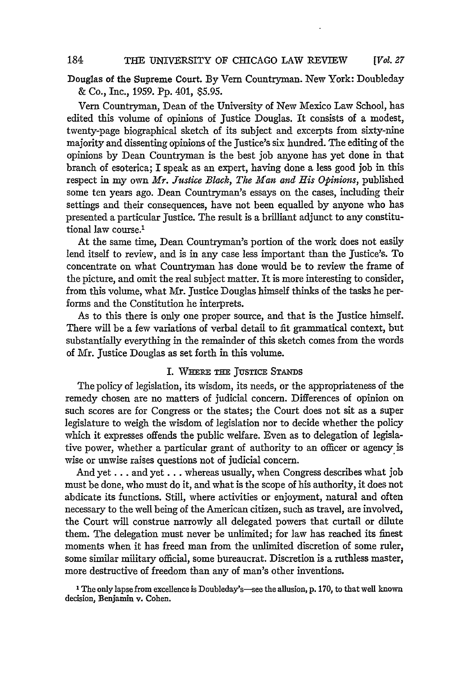*[Vol. 27*

Douglas of the Supreme Court. **By** Vern Countryman. New York: Doubleday & Co., Inc., 1959. Pp. 401, \$5.95.

Ven Countryman, Dean of the University of New Mexico Law School, has edited this volume of opinions of Justice Douglas. It consists of a modest, twenty-page biographical sketch of its subject and excerpts from sixty-nine majority and dissenting opinions of the Justice's six hundred. The editing of the opinions by Dean Countryman is the best job anyone has yet done in that branch of esoterica; I speak as an expert, having done a less good job in this respect in my own *Mr. Justice Block, The Man and His Opinions,* published some ten years ago. Dean Countryman's essays on the cases, including their settings and their consequences, have not been equalled by anyone who has presented a particular Justice. The result is a brilliant adjunct to any constitutional law course.'

At the same time, Dean Countryman's portion of the work does not easily lend itself to review, and is in any case less important than the Justice's. To concentrate on what Countryman has done would be to review the frame of the picture, and omit the real subject matter. It is more interesting to consider, from this volume, what Mr. Justice Douglas himself thinks of the tasks he performs and the Constitution he interprets.

As to this there is only one proper source, and that is the Justice himself. There will be a few variations of verbal detail to fit grammatical context, but substantially everything in the remainder of this sketch comes from the words of Mr. Justice Douglas as set forth in this volume.

#### I. WHERE **THE JUSTICE STANDS**

The policy of legislation, its wisdom, its needs, or the appropriateness of the remedy chosen are no matters of judicial concern. Differences of opinion on such scores are for Congress or the states; the Court does not sit as a super legislature to weigh the wisdom of legislation nor to decide whether the policy which it expresses offends the public welfare. Even as to delegation of legislative power, whether a particular grant of authority to an officer or agency is wise or unwise raises questions not of judicial concern.

And yet **...** and yet **...** whereas usually, when Congress describes what job must be done, who must do it, and what is the scope of his authority, it does not abdicate its functions. Still, where activities or enjoyment, natural and often necessary to the well being of the American citizen, such as travel, are involved, the Court will construe narrowly all delegated powers that curtail or dilute them. The delegation must never be unlimited; for law has reached its fnest moments when it has freed man from the unlimited discretion of some ruler, some similar military official, some bureaucrat. Discretion is a ruthless master, more destructive of freedom than any of man's other inventions.

<sup>1</sup> The only lapse from excellence is Doubleday's-see the allusion, p. 170, to that well known decision, Benjamin v. Cohen.

184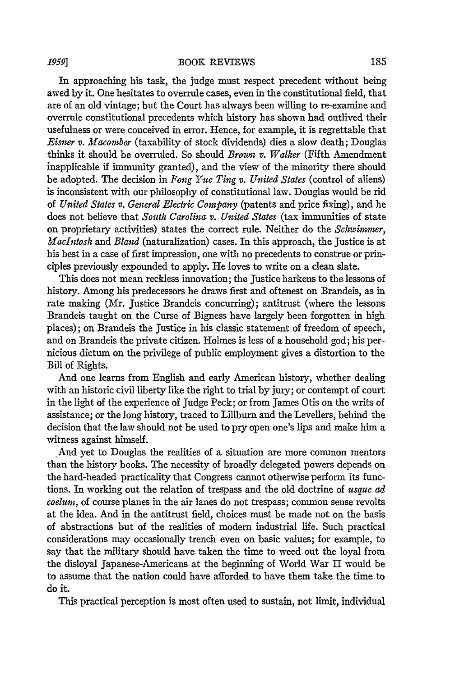#### BOOK REVIEWS

In approaching his task, the judge must respect precedent without being awed by it. One hesitates to overrule cases, even in the constitutional field, that are of an old vintage; but the Court has always been willing to re-examine and overrule constitutional precedents which history has shown had outlived their usefulness or were conceived in error. Hence, for example, it is regrettable that *Eisner v. Macomber* (taxability of stock dividends) dies a slow death; Douglas thinks it should be overruled. So should *Brown v. Walker* (Fifth Amendment inapplicable if immunity granted), and the view of the minority there should be adopted. The decision in *Fong Yue Ting v. United States* (control of aliens) is inconsistent with our philosophy of constitutional law. Douglas would be rid of *United States v. General Electric Company* (patents and price fixing), and he does not believe that *South Carolina v. United States* (tax immunities of state on proprietary activities) states the correct rule. Neither do the *Sclzwimmer, Macintosh* and *Bland* (naturalization) cases. In this approach, the justice is at his best in a case of first impression, one with no precedents to construe or principles previously expounded to apply. He loves to write on a clean slate.

This does not mean reckless innovation; the Justice harkens to the lessons of history. Among his predecessors he draws first and oftenest on Brandeis, as in rate making (Mr. Justice Brandeis concurring); antitrust (where the lessons Brandeis taught on the Curse of Bigness have largely been forgotten in high places); on Brandeis the Justice in his classic statement of freedom of speech, and on Brandeis the private citizen. Holmes is less of a household god; his pernicious dictum on the privilege of public employment gives a distortion to the Bill of Rights.

And one learns from English and early American history, whether dealing with an historic civil liberty like the right to trial by jury; or contempt of court in the light of the experience of judge Peck; or from James Otis on the writs of assistance; or the long history, traced to Lillburn and the Levellers, behind the decision that the law should not be used to pry open one's lips and make him a witness against himself.

And yet to Douglas the realities of a situation are more common mentors than the history books. The necessity of broadly delegated powers depends on the hard-headed practicality that Congress cannot otherwise perform its functions. In working out the relation of trespass and the old doctrine of *usque ad coelum,* of course planes in the air lanes do not trespass; common sense revolts at the idea. And in the antitrust field, choices must be made not on the basis of abstractions but of the realities of modern industrial life. Such practical considerations may occasionally trench even on basic values; for example, to say that the military should have taken the time to weed out the loyal from the disloyal Japanese-Americans at the beginning of World War II would be to assume that the nation could have afforded to have them take the time to do it.

This practical perception is most often used to sustain, not limit, individual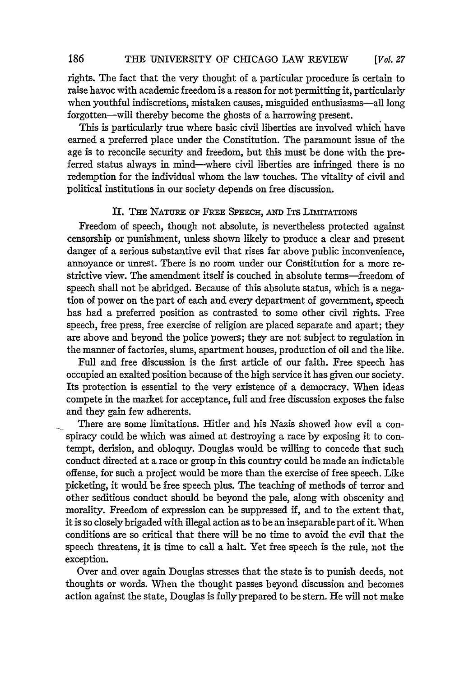#### 186 THE UNIVERSITY OF CHICAGO LAW REVIEW *[Vol 27*

rights. The fact that the very thought of a particular procedure is certain to raise havoc with academic freedom is a reason for not permitting it, particularly when youthful indiscretions, mistaken causes, misguided enthusiasms-all long forgotten-will thereby become the ghosts of a harrowing present.

This is particularly true where basic civil liberties are involved which have earned a preferred place under the Constitution. The paramount issue of the age is to reconcile security and freedom, but this must be done with the preferred status always in mind-where civil liberties are infringed there is no redemption for the individual whom the law touches. The vitality of civil and political institutions in our society depends on free discussion.

#### II. THE NATURE OF FREE SPEECH, AND ITS LIMITATIONS

Freedom of speech, though not absolute, is nevertheless protected against censorship or punishment, unless shown likely to produce a clear and present danger of a serious substantive evil that rises far above public inconvenience, annoyance or unrest. There is no room under our Constitution for a more restrictive view. The amendment itself is couched in absolute terms—freedom of speech shall not be abridged. Because of this absolute status, which is a negation of power on the part of each and every department of government, speech has had a preferred position as contrasted to some other civil rights. Free speech, free press, free exercise of religion are placed separate and apart; they are above and beyond the police powers; they are not subject to regulation in the manner of factories, slums, apartment houses, production of oil and the like.

Full and free discussion is the first article of our faith. Free speech has occupied an exalted position because of the high service it has given our society. Its protection is essential to the very existence of a democracy. When ideas compete in the market for acceptance, full and free discussion exposes the false and they gain few adherents.

There are some limitations. Hitler and his Nazis showed how evil a conspiracy could be which was aimed at destroying a race by exposing it to contempt, derision, and obloquy. Douglas would be willing to concede that such conduct directed at a race or group in this country could be made an indictable offense, for such a project would be more than the exercise of free speech. Like picketing, it would be free speech plus. The teaching of methods of terror and other seditious conduct should be beyond the pale, along with obscenity and morality. Freedom of expression can be suppressed if, and to the extent that, it is so closely brigaded with illegal action as to be an inseparable part of it. When conditions are so critical that there will be no time to avoid the evil that the speech threatens, it is time to call a halt. Yet free speech is the rule, not the exception.

Over and over again Douglas stresses that the state is to punish deeds, not thoughts or words. When the thought passes beyond discussion and becomes action against the state, Douglas is fully prepared to be stern. He will not make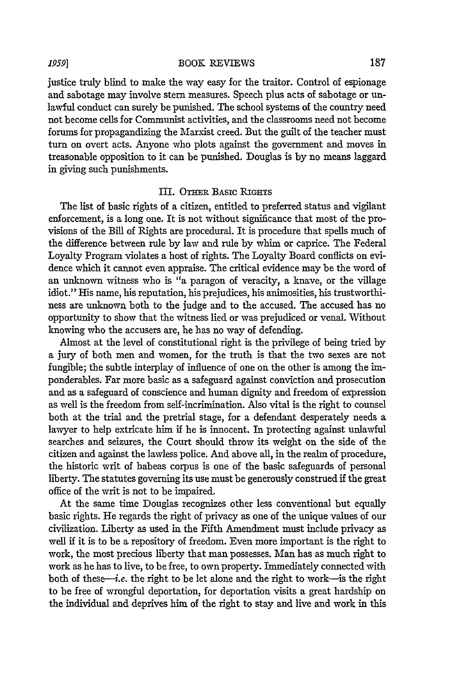justice truly blind to make the way easy for the traitor. Control of espionage and sabotage may involve stern measures. Speech plus acts of sabotage or unlawful conduct can surely be punished. The school systems of the country need not become cells for Communist activities, and the classrooms need not become forums for propagandizing the Marxist creed. But the guilt of the teacher must turn on overt acts. Anyone who plots against the government and moves in treasonable opposition to it can be punished. Douglas is by no means laggard in giving such punishments.

#### III. OTHER BASIC RIGHTS

The list of basic rights of a citizen, entitled to preferred status and vigilant enforcement, is a long one. It is not without significance that most of the provisions of the Bill of Rights are procedural. It is procedure that spells much of the difference between rule by law and rule by whim or caprice. The Federal Loyalty Program violates a host of rights. The Loyalty Board conflicts on evidence which it cannot even appraise. The critical evidence may be the word of an unknown witness who is "a paragon of veracity, a knave, or the village idiot." His name, his reputation, his prejudices, his animosities, his trustworthiness are unknown both to the judge and to the accused. The accused has no opportunity to show that the witness lied or was prejudiced or venal. Without knowing who the accusers are, he has no way of defending.

Almost at the level of constitutional right is the privilege of being tried by a jury of both men and women, for the truth is that the two sexes are not fungible; the subtle interplay of influence of one on the other is among the imponderables. Far more basic as a safeguard against conviction and prosecution and as a safeguard of conscience and human dignity and freedom of expression as well is the freedom from self-incrimination. Also vital is the right to counsel both at the trial and the pretrial stage, for a defendant desperately needs a lawyer to help extricate him if he is innocent. In protecting against unlawful searches and seizures, the Court should throw its weight on the side of the citizen and against the lawless police. And above all, in the realm of procedure, the historic writ of habeas corpus is one of the basic safeguards of personal liberty. The statutes governing its use must be generously construed if the great office of the writ is not to be impaired.

At the same time Douglas recognizes other less conventional but equally basic rights. He regards the right of privacy as one of the unique values of our civilization. Liberty as used in the Fifth Amendment must include privacy as well if it is to be a repository of freedom. Even more important is the right to work, the most precious liberty that man possesses. Man has as much right to work as he has to live, to be free, to own property. Immediately connected with both of these-i.e. the right to be let alone and the right to work-is the right to be free of wrongful deportation, for deportation visits a great hardship on the individual and deprives him of the right to stay and live and work in this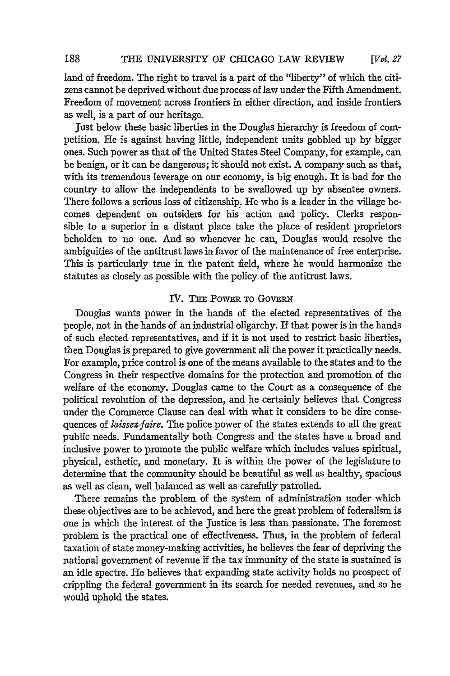land of freedom. The right to travel is a part of the "liberty" of which the citizens cannot be deprived without due process of law under the Fifth Amendment. Freedom of movement across frontiers in either direction, and inside frontiers as well, is a part of our heritage.

just below these basic liberties in the Douglas hierarchy is freedom of competition. He is against having little, independent units gobbled up by bigger ones. Such power as that of the United States Steel Company, for example, can be benign, or it can be dangerous; it should not exist. A company such as that, with its tremendous leverage on our economy, is big enough. It is bad for the country to allow the independents to be swallowed up by absentee owners. There follows a serious loss of citizenship. He who is a leader in the village becomes dependent on outsiders for his action and policy. Clerks responsible to a superior in a distant place take the place of resident proprietors beholden to no one. And so whenever he can, Douglas would resolve the ambiguities of the antitrust laws in favor of the maintenance of free enterprise. This is particularly true in the patent field, where he would harmonize the statutes as closely as possible with the policy of the antitrust laws.

#### IV. THE POWER TO GOVERN

Douglas wants power in the hands of the elected representatives of the people, not in the hands of an industrial oligarchy. If that power is in the hands of such elected representatives, and if it is not used to restrict basic liberties, then Douglas is prepared to give government all the power it practically needs. For example, price control is one of the means available to the states and to the Congress in their respective domains for the protection and promotion of the welfare of the economy. Douglas came to the Court as a consequence of the political revolution of the depression, and he certainly believes that Congress under the Commerce Clause can deal with what it considers to be dire consequences of *laissez-faire.* The police power of the states extends to all the great public needs. Fundamentally both Congress and the states have a broad and inclusive power to promote the public welfare which includes values spiritual, physical, esthetic, and monetary. It is within the power of the legislature to determine that the community should be beautiful as well as healthy, spacious as well as clean, well balanced as well as carefully patrolled.

There remains the problem of the system of administration under which these objectives are to be achieved, and here the great problem of federalism is one in which the interest of the Justice is less than passionate. The foremost problem is the practical one of effectiveness. Thus, in the problem of federal taxation of state money-making activities, he believes the fear of depriving the national government of revenue if the tax immunity of the state is sustained is an idle spectre. He believes that expanding state activity holds no prospect of crippling the federal government in its search for needed revenues, and so he would uphold the states.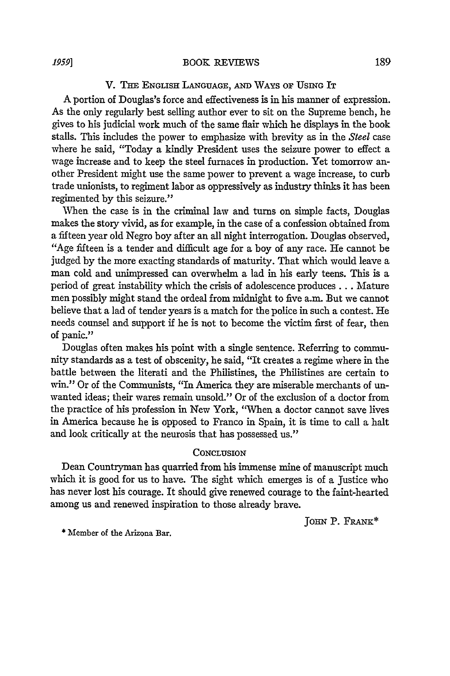#### V. THE ENGLISH LANGUAGE, **AND** WAYS **OF** USING IT

A portion of Douglas's force and effectiveness is in his manner of expression. As the only regularly best selling author ever to sit on the Supreme bench, he gives to his judicial work much of the same flair which he displays in the book stalls. This includes the power to emphasize with brevity as in the *Steel* case where he said, "Today a kindly President uses the seizure power to effect a wage increase and to keep the steel furnaces in production. Yet tomorrow another President might use the same power to prevent a wage increase, to curb trade unionists, to regiment labor as oppressively as industry thinks it has been regimented by this seizure."

When the case is in the criminal law and turns on simple facts, Douglas makes the story vivid, as for example, in the case of a confession obtained from a fifteen year old Negro boy after an all night interrogation. Douglas observed, "Age fifteen is a tender and difficult age for a boy of any race. He cannot be judged by the more exacting standards of maturity. That which would leave a man cold and unimpressed can overwhelm a lad in his early teens. This is a period of great instability which the crisis of adolescence produces... Mature men possibly might stand the ordeal from midnight to five a.m. But we cannot believe that a lad of tender years is a match for the police in such a contest. He needs counsel and support if he is not to become the victim first of fear, then of panic."

Douglas often makes his point with a single sentence. Referring to community standards as a test of obscenity, he said, "It creates a regime where in the battle between the literati and the Philistines, the Philistines are certain to win." Or of the Communists, "In America they are miserable merchants of unwanted ideas; their wares remain unsold." Or of the exclusion of a doctor from the practice of his profession in New York, "When a doctor cannot save lives in America because he is opposed to Franco in Spain, it is time to call a halt and look critically at the neurosis that has possessed us."

#### **CONCLUSION**

Dean Countryman has quarried from his immense mine of manuscript much which it is good for us to have. The sight which emerges is of a Justice who has never lost his courage. It should give renewed courage to the faint-hearted among us and renewed inspiration to those already brave.

**JOHN** P. FRANK\*

\* Member of the Arizona Bar.